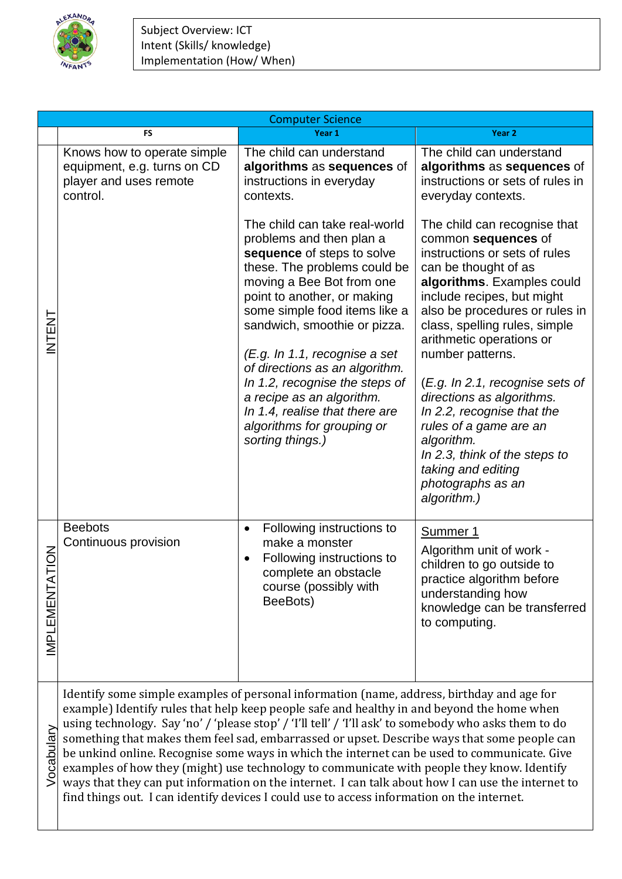

|                        | <b>Computer Science</b>                                                                                                                                                                                                                                                                                                                                                                                                                                                                                                                                                                                                                                                                                                                                                                             |                                                                                                                                                                                                                                                                                                                                                                                                                                                                            |                                                                                                                                                                                                                                                                                                                                                                                                                                                                                                                              |  |
|------------------------|-----------------------------------------------------------------------------------------------------------------------------------------------------------------------------------------------------------------------------------------------------------------------------------------------------------------------------------------------------------------------------------------------------------------------------------------------------------------------------------------------------------------------------------------------------------------------------------------------------------------------------------------------------------------------------------------------------------------------------------------------------------------------------------------------------|----------------------------------------------------------------------------------------------------------------------------------------------------------------------------------------------------------------------------------------------------------------------------------------------------------------------------------------------------------------------------------------------------------------------------------------------------------------------------|------------------------------------------------------------------------------------------------------------------------------------------------------------------------------------------------------------------------------------------------------------------------------------------------------------------------------------------------------------------------------------------------------------------------------------------------------------------------------------------------------------------------------|--|
|                        | <b>FS</b>                                                                                                                                                                                                                                                                                                                                                                                                                                                                                                                                                                                                                                                                                                                                                                                           | Year 1                                                                                                                                                                                                                                                                                                                                                                                                                                                                     | Year 2                                                                                                                                                                                                                                                                                                                                                                                                                                                                                                                       |  |
|                        | Knows how to operate simple<br>equipment, e.g. turns on CD<br>player and uses remote<br>control.                                                                                                                                                                                                                                                                                                                                                                                                                                                                                                                                                                                                                                                                                                    | The child can understand<br>algorithms as sequences of<br>instructions in everyday<br>contexts.                                                                                                                                                                                                                                                                                                                                                                            | The child can understand<br>algorithms as sequences of<br>instructions or sets of rules in<br>everyday contexts.                                                                                                                                                                                                                                                                                                                                                                                                             |  |
| NTENT                  |                                                                                                                                                                                                                                                                                                                                                                                                                                                                                                                                                                                                                                                                                                                                                                                                     | The child can take real-world<br>problems and then plan a<br>sequence of steps to solve<br>these. The problems could be<br>moving a Bee Bot from one<br>point to another, or making<br>some simple food items like a<br>sandwich, smoothie or pizza.<br>(E.g. In 1.1, recognise a set<br>of directions as an algorithm.<br>In 1.2, recognise the steps of<br>a recipe as an algorithm.<br>In 1.4, realise that there are<br>algorithms for grouping or<br>sorting things.) | The child can recognise that<br>common sequences of<br>instructions or sets of rules<br>can be thought of as<br>algorithms. Examples could<br>include recipes, but might<br>also be procedures or rules in<br>class, spelling rules, simple<br>arithmetic operations or<br>number patterns.<br>(E.g. In 2.1, recognise sets of<br>directions as algorithms.<br>In 2.2, recognise that the<br>rules of a game are an<br>algorithm.<br>In 2.3, think of the steps to<br>taking and editing<br>photographs as an<br>algorithm.) |  |
| NOL<br>D<br>IMPLEMENTA | <b>Beebots</b><br>Continuous provision                                                                                                                                                                                                                                                                                                                                                                                                                                                                                                                                                                                                                                                                                                                                                              | Following instructions to<br>$\bullet$<br>make a monster<br>Following instructions to<br>$\bullet$<br>complete an obstacle<br>course (possibly with<br>BeeBots)                                                                                                                                                                                                                                                                                                            | Summer 1<br>Algorithm unit of work -<br>children to go outside to<br>practice algorithm before<br>understanding how<br>knowledge can be transferred<br>to computing.                                                                                                                                                                                                                                                                                                                                                         |  |
| Vocabulary             | Identify some simple examples of personal information (name, address, birthday and age for<br>example) Identify rules that help keep people safe and healthy in and beyond the home when<br>using technology. Say 'no' / 'please stop' / 'I'll tell' / 'I'll ask' to somebody who asks them to do<br>something that makes them feel sad, embarrassed or upset. Describe ways that some people can<br>be unkind online. Recognise some ways in which the internet can be used to communicate. Give<br>examples of how they (might) use technology to communicate with people they know. Identify<br>ways that they can put information on the internet. I can talk about how I can use the internet to<br>find things out. I can identify devices I could use to access information on the internet. |                                                                                                                                                                                                                                                                                                                                                                                                                                                                            |                                                                                                                                                                                                                                                                                                                                                                                                                                                                                                                              |  |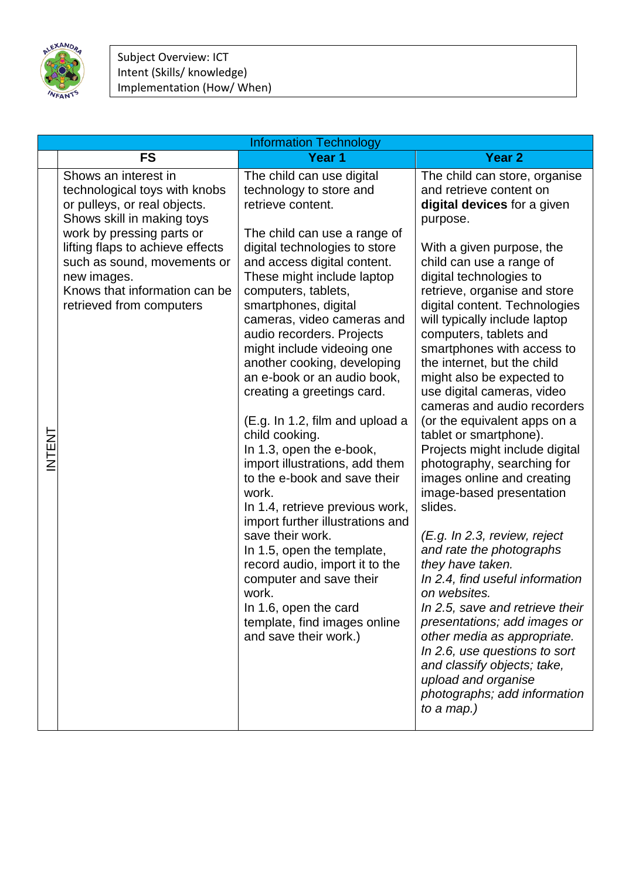

|       | <b>Information Technology</b>                                                                                                                                                                                                                                                                   |                                                                                                                                                                                                                                                                                                                                                                                                                                                                                                                                                                                                                                                                                                                                                                                                                                                                                          |                                                                                                                                                                                                                                                                                                                                                                                                                                                                                                                                                                                                                                                                                                                                                                                                                                                                                                                                                                                                                                                     |
|-------|-------------------------------------------------------------------------------------------------------------------------------------------------------------------------------------------------------------------------------------------------------------------------------------------------|------------------------------------------------------------------------------------------------------------------------------------------------------------------------------------------------------------------------------------------------------------------------------------------------------------------------------------------------------------------------------------------------------------------------------------------------------------------------------------------------------------------------------------------------------------------------------------------------------------------------------------------------------------------------------------------------------------------------------------------------------------------------------------------------------------------------------------------------------------------------------------------|-----------------------------------------------------------------------------------------------------------------------------------------------------------------------------------------------------------------------------------------------------------------------------------------------------------------------------------------------------------------------------------------------------------------------------------------------------------------------------------------------------------------------------------------------------------------------------------------------------------------------------------------------------------------------------------------------------------------------------------------------------------------------------------------------------------------------------------------------------------------------------------------------------------------------------------------------------------------------------------------------------------------------------------------------------|
|       | <b>FS</b>                                                                                                                                                                                                                                                                                       | Year 1                                                                                                                                                                                                                                                                                                                                                                                                                                                                                                                                                                                                                                                                                                                                                                                                                                                                                   | <b>Year 2</b>                                                                                                                                                                                                                                                                                                                                                                                                                                                                                                                                                                                                                                                                                                                                                                                                                                                                                                                                                                                                                                       |
| NTENT | Shows an interest in<br>technological toys with knobs<br>or pulleys, or real objects.<br>Shows skill in making toys<br>work by pressing parts or<br>lifting flaps to achieve effects<br>such as sound, movements or<br>new images.<br>Knows that information can be<br>retrieved from computers | The child can use digital<br>technology to store and<br>retrieve content.<br>The child can use a range of<br>digital technologies to store<br>and access digital content.<br>These might include laptop<br>computers, tablets,<br>smartphones, digital<br>cameras, video cameras and<br>audio recorders. Projects<br>might include videoing one<br>another cooking, developing<br>an e-book or an audio book,<br>creating a greetings card.<br>(E.g. In 1.2, film and upload a<br>child cooking.<br>In 1.3, open the e-book,<br>import illustrations, add them<br>to the e-book and save their<br>work.<br>In 1.4, retrieve previous work,<br>import further illustrations and<br>save their work.<br>In 1.5, open the template,<br>record audio, import it to the<br>computer and save their<br>work.<br>In 1.6, open the card<br>template, find images online<br>and save their work.) | The child can store, organise<br>and retrieve content on<br>digital devices for a given<br>purpose.<br>With a given purpose, the<br>child can use a range of<br>digital technologies to<br>retrieve, organise and store<br>digital content. Technologies<br>will typically include laptop<br>computers, tablets and<br>smartphones with access to<br>the internet, but the child<br>might also be expected to<br>use digital cameras, video<br>cameras and audio recorders<br>(or the equivalent apps on a<br>tablet or smartphone).<br>Projects might include digital<br>photography, searching for<br>images online and creating<br>image-based presentation<br>slides.<br>(E.g. In 2.3, review, reject<br>and rate the photographs<br>they have taken.<br>In 2.4, find useful information<br>on websites.<br>In 2.5, save and retrieve their<br>presentations; add images or<br>other media as appropriate.<br>In 2.6, use questions to sort<br>and classify objects; take,<br>upload and organise<br>photographs; add information<br>to a map.) |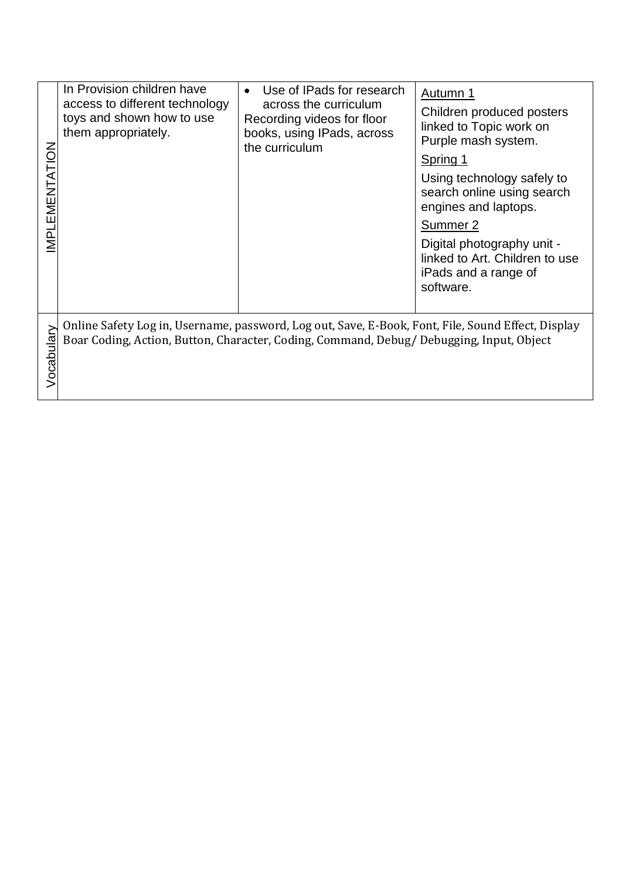| MPLEMENTATION | In Provision children have<br>access to different technology<br>toys and shown how to use<br>them appropriately. | Use of IPads for research<br>$\bullet$<br>across the curriculum<br>Recording videos for floor<br>books, using IPads, across<br>the curriculum | Autumn 1<br>Children produced posters<br>linked to Topic work on<br>Purple mash system.<br>Spring 1<br>Using technology safely to<br>search online using search<br>engines and laptops.<br>Summer 2<br>Digital photography unit -<br>linked to Art. Children to use<br>iPads and a range of<br>software. |
|---------------|------------------------------------------------------------------------------------------------------------------|-----------------------------------------------------------------------------------------------------------------------------------------------|----------------------------------------------------------------------------------------------------------------------------------------------------------------------------------------------------------------------------------------------------------------------------------------------------------|
| $\geq$        | Online Safety Log in, Username, password, Log out, Save, E-Book, Font, File, Sound Effect, Display               |                                                                                                                                               |                                                                                                                                                                                                                                                                                                          |
| Vocabula      | Boar Coding, Action, Button, Character, Coding, Command, Debug/ Debugging, Input, Object                         |                                                                                                                                               |                                                                                                                                                                                                                                                                                                          |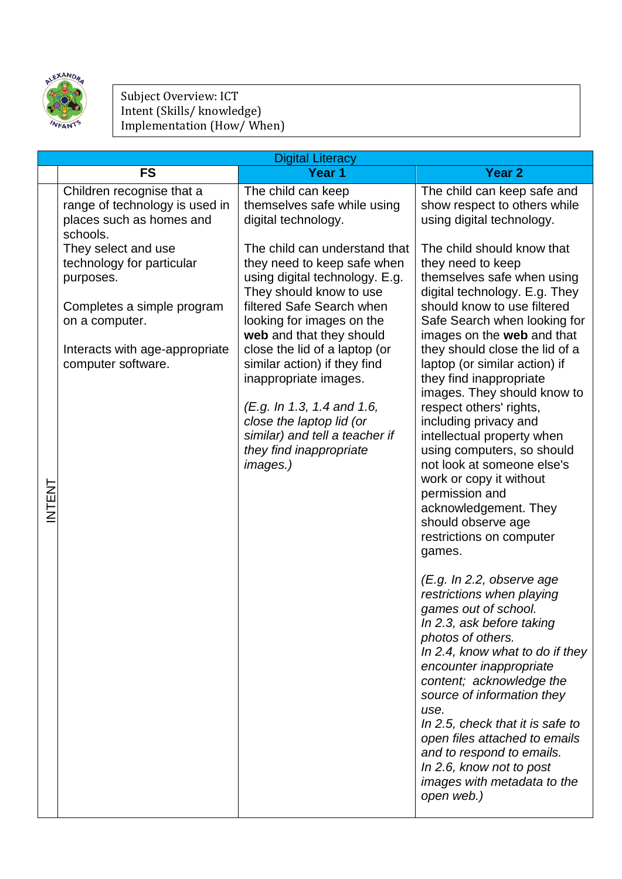

## Subject Overview: ICT Intent (Skills/ knowledge) Implementation (How/ When)

|               | <b>Digital Literacy</b>                                                                                                                                                                                                                                                      |                                                                                                                                                                                                                                                                                                                                                                                       |                                                                                                                                                                                                                                                                                                                                                                                                                                      |
|---------------|------------------------------------------------------------------------------------------------------------------------------------------------------------------------------------------------------------------------------------------------------------------------------|---------------------------------------------------------------------------------------------------------------------------------------------------------------------------------------------------------------------------------------------------------------------------------------------------------------------------------------------------------------------------------------|--------------------------------------------------------------------------------------------------------------------------------------------------------------------------------------------------------------------------------------------------------------------------------------------------------------------------------------------------------------------------------------------------------------------------------------|
|               | <b>FS</b>                                                                                                                                                                                                                                                                    | Year 1                                                                                                                                                                                                                                                                                                                                                                                | Year <sub>2</sub>                                                                                                                                                                                                                                                                                                                                                                                                                    |
|               | Children recognise that a<br>range of technology is used in<br>places such as homes and<br>schools.<br>They select and use<br>technology for particular<br>purposes.<br>Completes a simple program<br>on a computer.<br>Interacts with age-appropriate<br>computer software. | The child can keep<br>themselves safe while using<br>digital technology.<br>The child can understand that<br>they need to keep safe when<br>using digital technology. E.g.<br>They should know to use<br>filtered Safe Search when<br>looking for images on the<br>web and that they should<br>close the lid of a laptop (or<br>similar action) if they find<br>inappropriate images. | The child can keep safe and<br>show respect to others while<br>using digital technology.<br>The child should know that<br>they need to keep<br>themselves safe when using<br>digital technology. E.g. They<br>should know to use filtered<br>Safe Search when looking for<br>images on the web and that<br>they should close the lid of a<br>laptop (or similar action) if<br>they find inappropriate<br>images. They should know to |
| <b>INTENT</b> |                                                                                                                                                                                                                                                                              | (E.g. In 1.3, 1.4 and 1.6,<br>close the laptop lid (or<br>similar) and tell a teacher if<br>they find inappropriate<br>images.)                                                                                                                                                                                                                                                       | respect others' rights,<br>including privacy and<br>intellectual property when<br>using computers, so should<br>not look at someone else's<br>work or copy it without<br>permission and<br>acknowledgement. They<br>should observe age<br>restrictions on computer<br>games.<br>(E.g. In 2.2, observe age                                                                                                                            |
|               |                                                                                                                                                                                                                                                                              |                                                                                                                                                                                                                                                                                                                                                                                       | restrictions when playing<br>games out of school.<br>In 2.3, ask before taking<br>photos of others.<br>In 2.4, know what to do if they<br>encounter inappropriate<br>content; acknowledge the<br>source of information they<br>use.<br>In 2.5, check that it is safe to<br>open files attached to emails<br>and to respond to emails.<br>In 2.6, know not to post<br>images with metadata to the<br>open web.)                       |